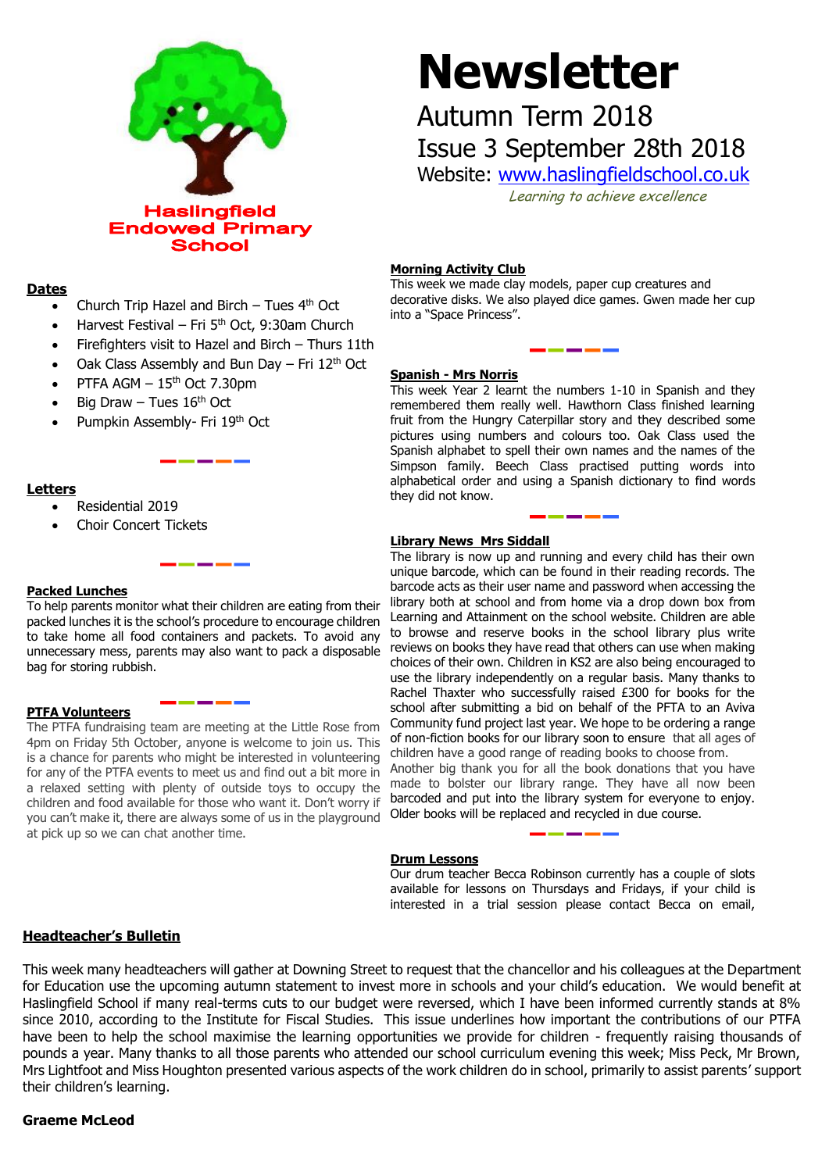

# **Dates**

- Church Trip Hazel and Birch Tues 4th Oct
- Harvest Festival Fri  $5<sup>th</sup>$  Oct, 9:30am Church
- Firefighters visit to Hazel and Birch Thurs 11th
- Oak Class Assembly and Bun Day  $-$  Fri 12<sup>th</sup> Oct
- PTFA AGM  $-15<sup>th</sup>$  Oct 7.30pm
- Big Draw Tues  $16<sup>th</sup>$  Oct
- Pumpkin Assembly- Fri 19th Oct

# **Letters**

- Residential 2019
- Choir Concert Tickets

# **Packed Lunches**

To help parents monitor what their children are eating from their packed lunches it is the school's procedure to encourage children to take home all food containers and packets. To avoid any bag for storing rubbish.

# **PTFA Volunteers**

The PTFA fundraising team are meeting at the Little Rose from 4pm on Friday 5th October, anyone is welcome to join us. This is a chance for parents who might be interested in volunteering for any of the PTFA events to meet us and find out a bit more in a relaxed setting with plenty of outside toys to occupy the children and food available for those who want it. Don't worry if you can't make it, there are always some of us in the playground at pick up so we can chat another time.

# **Newsletter**

# Autumn Term 2018 Issue 3 September 28th 2018

Website: [www.haslingfieldschool.co.uk](http://www.haslingfieldschool.co.uk/)

Learning to achieve excellence

# **Morning Activity Club**

This week we made clay models, paper cup creatures and decorative disks. We also played dice games. Gwen made her cup into a "Space Princess".

# **Spanish - Mrs Norris**

This week Year 2 learnt the numbers 1-10 in Spanish and they remembered them really well. Hawthorn Class finished learning fruit from the Hungry Caterpillar story and they described some pictures using numbers and colours too. Oak Class used the Spanish alphabet to spell their own names and the names of the Simpson family. Beech Class practised putting words into alphabetical order and using a Spanish dictionary to find words they did not know.

# **Library News Mrs Siddall**

to take nome all food containers and packets. To avoid any to browse and reserve books in the sensor library plas when<br>unnecessary mess, parents may also want to pack a disposable reviews on books they have read that other The library is now up and running and every child has their own unique barcode, which can be found in their reading records. The barcode acts as their user name and password when accessing the library both at school and from home via a drop down box from Learning and Attainment on the school website. Children are able to browse and reserve books in the school library plus write choices of their own. Children in KS2 are also being encouraged to use the library independently on a regular basis. Many thanks to Rachel Thaxter who successfully raised £300 for books for the school after submitting a bid on behalf of the PFTA to an Aviva Community fund project last year. We hope to be ordering a range of non-fiction books for our library soon to ensure that all ages of children have a good range of reading books to choose from.

Another big thank you for all the book donations that you have made to bolster our library range. They have all now been barcoded and put into the library system for everyone to enjoy. Older books will be replaced and recycled in due course.

# **Drum Lessons**

Our drum teacher Becca Robinson currently has a couple of slots available for lessons on Thursdays and Fridays, if your child is interested in a trial session please contact Becca on email,

# **Headteacher's Bulletin**

This week many headteachers will gather at Downing Street to request that the chancellor and his colleagues at the Department for Education use the upcoming autumn statement to invest more in schools and your child's education. We would benefit at Haslingfield School if many real-terms cuts to our budget were reversed, which I have been informed currently stands at 8% since 2010, according to the Institute for Fiscal Studies. This issue underlines how important the contributions of our PTFA have been to help the school maximise the learning opportunities we provide for children - frequently raising thousands of pounds a year. Many thanks to all those parents who attended our school curriculum evening this week; Miss Peck, Mr Brown, Mrs Lightfoot and Miss Houghton presented various aspects of the work children do in school, primarily to assist parents' support their children's learning.

# **Graeme McLeod**